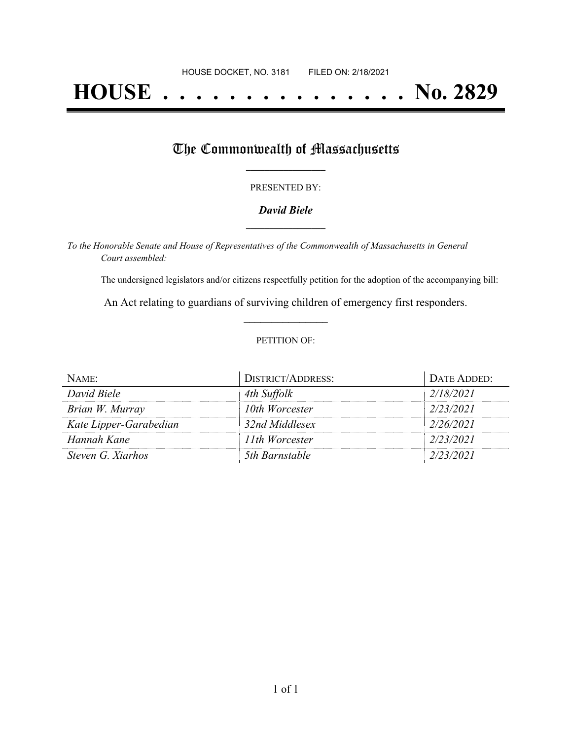# **HOUSE . . . . . . . . . . . . . . . No. 2829**

## The Commonwealth of Massachusetts

#### PRESENTED BY:

#### *David Biele* **\_\_\_\_\_\_\_\_\_\_\_\_\_\_\_\_\_**

*To the Honorable Senate and House of Representatives of the Commonwealth of Massachusetts in General Court assembled:*

The undersigned legislators and/or citizens respectfully petition for the adoption of the accompanying bill:

An Act relating to guardians of surviving children of emergency first responders. **\_\_\_\_\_\_\_\_\_\_\_\_\_\_\_**

#### PETITION OF:

| NAME:                  | <b>DISTRICT/ADDRESS:</b> | DATE ADDED: |
|------------------------|--------------------------|-------------|
| David Biele            | 4th Suffolk              | 2/18/2021   |
| Brian W. Murray        | 10th Worcester           | 2/23/2021   |
| Kate Lipper-Garabedian | 32nd Middlesex           | 2/26/2021   |
| Hannah Kane            | 11th Worcester           | 2/23/2021   |
| Steven G. Xiarhos      | 5th Barnstable           | 2/23/2021   |